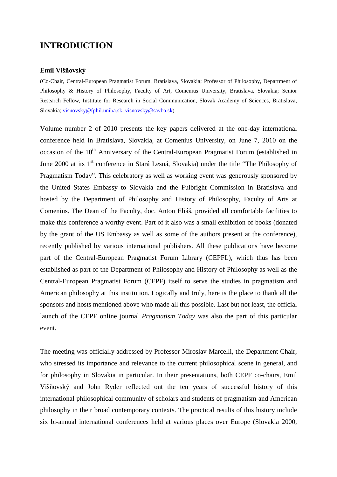## **INTRODUCTION**

## **Emil Višňovský**

(Co-Chair, Central-European Pragmatist Forum, Bratislava, Slovakia; Professor of Philosophy, Department of Philosophy & History of Philosophy, Faculty of Art, Comenius University, Bratislava, Slovakia; Senior Research Fellow, Institute for Research in Social Communication, Slovak Academy of Sciences, Bratislava, Slovakia; visnovsky@fphil.uniba.sk, visnovsky@savba.sk)

Volume number 2 of 2010 presents the key papers delivered at the one-day international conference held in Bratislava, Slovakia, at Comenius University, on June 7, 2010 on the occasion of the 10<sup>th</sup> Anniversary of the Central-European Pragmatist Forum (established in June 2000 at its 1<sup>st</sup> conference in Stará Lesná, Slovakia) under the title "The Philosophy of Pragmatism Today". This celebratory as well as working event was generously sponsored by the United States Embassy to Slovakia and the Fulbright Commission in Bratislava and hosted by the Department of Philosophy and History of Philosophy, Faculty of Arts at Comenius. The Dean of the Faculty, doc. Anton Eliáš, provided all comfortable facilities to make this conference a worthy event. Part of it also was a small exhibition of books (donated by the grant of the US Embassy as well as some of the authors present at the conference), recently published by various international publishers. All these publications have become part of the Central-European Pragmatist Forum Library (CEPFL), which thus has been established as part of the Department of Philosophy and History of Philosophy as well as the Central-European Pragmatist Forum (CEPF) itself to serve the studies in pragmatism and American philosophy at this institution. Logically and truly, here is the place to thank all the sponsors and hosts mentioned above who made all this possible. Last but not least, the official launch of the CEPF online journal *Pragmatism Today* was also the part of this particular event.

The meeting was officially addressed by Professor Miroslav Marcelli, the Department Chair, who stressed its importance and relevance to the current philosophical scene in general, and for philosophy in Slovakia in particular. In their presentations, both CEPF co-chairs, Emil Višňovský and John Ryder reflected ont the ten years of successful history of this international philosophical community of scholars and students of pragmatism and American philosophy in their broad contemporary contexts. The practical results of this history include six bi-annual international conferences held at various places over Europe (Slovakia 2000,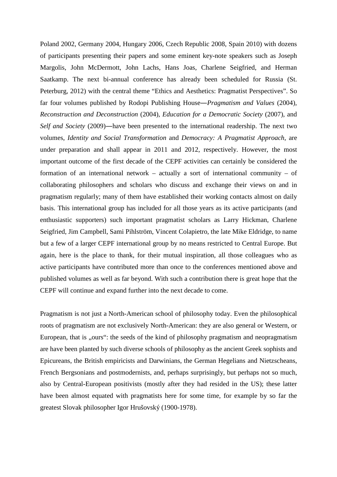Poland 2002, Germany 2004, Hungary 2006, Czech Republic 2008, Spain 2010) with dozens of participants presenting their papers and some eminent key-note speakers such as Joseph Margolis, John McDermott, John Lachs, Hans Joas, Charlene Seigfried, and Herman Saatkamp. The next bi-annual conference has already been scheduled for Russia (St. Peterburg, 2012) with the central theme "Ethics and Aesthetics: Pragmatist Perspectives". So far four volumes published by Rodopi Publishing House―*Pragmatism and Values* (2004)*, Reconstruction and Deconstruction* (2004), *Education for a Democratic Society* (2007), and *Self and Society* (2009)―have been presented to the international readership. The next two volumes, *Identity and Social Transformation* and *Democracy: A Pragmatist Approach*, are under preparation and shall appear in 2011 and 2012, respectively. However, the most important outcome of the first decade of the CEPF activities can certainly be considered the formation of an international network – actually a sort of international community – of collaborating philosophers and scholars who discuss and exchange their views on and in pragmatism regularly; many of them have established their working contacts almost on daily basis. This international group has included for all those years as its active participants (and enthusiastic supporters) such important pragmatist scholars as Larry Hickman, Charlene Seigfried, Jim Campbell, Sami Pihlström, Vincent Colapietro, the late Mike Eldridge, to name but a few of a larger CEPF international group by no means restricted to Central Europe. But again, here is the place to thank, for their mutual inspiration, all those colleagues who as active participants have contributed more than once to the conferences mentioned above and published volumes as well as far beyond. With such a contribution there is great hope that the CEPF will continue and expand further into the next decade to come.

Pragmatism is not just a North-American school of philosophy today. Even the philosophical roots of pragmatism are not exclusively North-American: they are also general or Western, or European, that is "ours": the seeds of the kind of philosophy pragmatism and neopragmatism are have been planted by such diverse schools of philosophy as the ancient Greek sophists and Epicureans, the British empiricists and Darwinians, the German Hegelians and Nietzscheans, French Bergsonians and postmodernists, and, perhaps surprisingly, but perhaps not so much, also by Central-European positivists (mostly after they had resided in the US); these latter have been almost equated with pragmatists here for some time, for example by so far the greatest Slovak philosopher Igor Hrušovský (1900-1978).